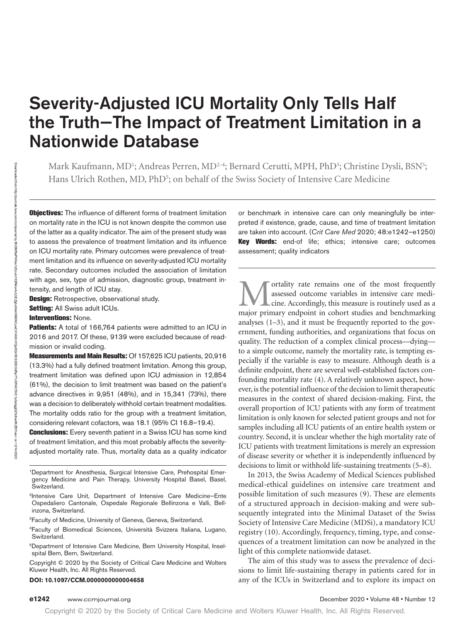# Severity-Adjusted ICU Mortality Only Tells Half the Truth—The Impact of Treatment Limitation in a Nationwide Database

Mark Kaufmann, MD<sup>1</sup>; Andreas Perren, MD<sup>2-4</sup>; Bernard Cerutti, MPH, PhD<sup>3</sup>; Christine Dysli, BSN<sup>5</sup>; Hans Ulrich Rothen, MD, PhD<sup>5</sup>; on behalf of the Swiss Society of Intensive Care Medicine

**Objectives:** The influence of different forms of treatment limitation on mortality rate in the ICU is not known despite the common use of the latter as a quality indicator. The aim of the present study was to assess the prevalence of treatment limitation and its influence on ICU mortality rate. Primary outcomes were prevalence of treatment limitation and its influence on severity-adjusted ICU mortality rate. Secondary outcomes included the association of limitation with age, sex, type of admission, diagnostic group, treatment intensity, and length of ICU stay.

**Design:** Retrospective, observational study.

**Setting:** All Swiss adult ICUs.

### Interventions: None.

Patients: A total of 166,764 patients were admitted to an ICU in 2016 and 2017. Of these, 9139 were excluded because of readmission or invalid coding.

Measurements and Main Results: Of 157,625 ICU patients, 20,916 (13.3%) had a fully defined treatment limitation. Among this group, treatment limitation was defined upon ICU admission in 12,854 (61%), the decision to limit treatment was based on the patient's advance directives in 9,951 (48%), and in 15,341 (73%), there was a decision to deliberately withhold certain treatment modalities. The mortality odds ratio for the group with a treatment limitation, considering relevant cofactors, was 18.1 (95% CI 16.8–19.4).

**Conclusions:** Every seventh patient in a Swiss ICU has some kind of treatment limitation, and this most probably affects the severityadjusted mortality rate. Thus, mortality data as a quality indicator

- 1Department for Anesthesia, Surgical Intensive Care, Prehospital Emergency Medicine and Pain Therapy, University Hospital Basel, Basel, Switzerland.
- 2Intensive Care Unit, Department of Intensive Care Medicine—Ente Ospedaliero Cantonale, Ospedale Regionale Bellinzona e Valli, Bellinzona, Switzerland.
- 3Faculty of Medicine, University of Geneva, Geneva, Switzerland.
- 4Faculty of Biomedical Sciences, Università Svizzera Italiana, Lugano, Switzerland.
- 5Department of Intensive Care Medicine, Bern University Hospital, Inselspital Bern, Bern, Switzerland.

Copyright © 2020 by the Society of Critical Care Medicine and Wolters Kluwer Health, Inc. All Rights Reserved.

or benchmark in intensive care can only meaningfully be interpreted if existence, grade, cause, and time of treatment limitation are taken into account. (*Crit Care Med* 2020; 48:e1242–e1250) Key Words: end-of life; ethics; intensive care; outcomes assessment; quality indicators

ortality rate remains one of the most frequently assessed outcome variables in intensive care medicine. Accordingly, this measure is routinely used as a major primary endpoint in cohort studies and benchmarking analyses (1–3), and it must be frequently reported to the government, funding authorities, and organizations that focus on quality. The reduction of a complex clinical process—dying to a simple outcome, namely the mortality rate, is tempting especially if the variable is easy to measure. Although death is a definite endpoint, there are several well-established factors confounding mortality rate (4). A relatively unknown aspect, however, is the potential influence of the decision to limit therapeutic measures in the context of shared decision-making. First, the overall proportion of ICU patients with any form of treatment limitation is only known for selected patient groups and not for samples including all ICU patients of an entire health system or country. Second, it is unclear whether the high mortality rate of ICU patients with treatment limitations is merely an expression of disease severity or whether it is independently influenced by decisions to limit or withhold life-sustaining treatments (5–8).

In 2013, the Swiss Academy of Medical Sciences published medical-ethical guidelines on intensive care treatment and possible limitation of such measures (9). These are elements of a structured approach in decision-making and were subsequently integrated into the Minimal Dataset of the Swiss Society of Intensive Care Medicine (MDSi), a mandatory ICU registry (10). Accordingly, frequency, timing, type, and consequences of a treatment limitation can now be analyzed in the light of this complete nationwide dataset.

The aim of this study was to assess the prevalence of decisions to limit life-sustaining therapy in patients cared for in **DOI: 10.1097/CCM.000000000004658** any of the ICUs in Switzerland and to explore its impact on

### **e1242** www.ccmjournal.org December 2020 • Volume 48 • Number 12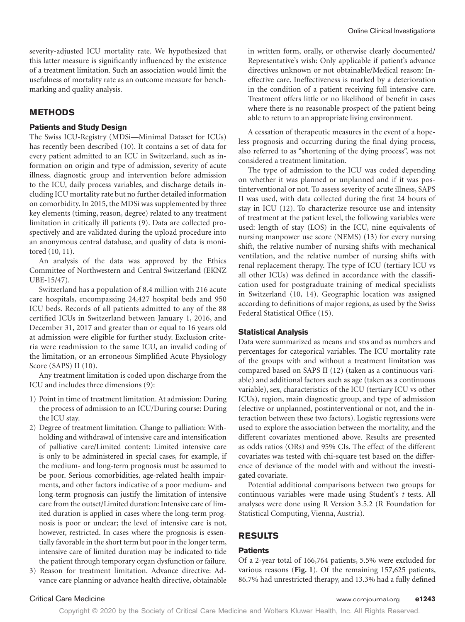severity-adjusted ICU mortality rate. We hypothesized that this latter measure is significantly influenced by the existence of a treatment limitation. Such an association would limit the usefulness of mortality rate as an outcome measure for benchmarking and quality analysis.

# **METHODS**

# **Patients and Study Design**

The Swiss ICU-Registry (MDSi—Minimal Dataset for ICUs) has recently been described (10). It contains a set of data for every patient admitted to an ICU in Switzerland, such as information on origin and type of admission, severity of acute illness, diagnostic group and intervention before admission to the ICU, daily process variables, and discharge details including ICU mortality rate but no further detailed information on comorbidity. In 2015, the MDSi was supplemented by three key elements (timing, reason, degree) related to any treatment limitation in critically ill patients (9). Data are collected prospectively and are validated during the upload procedure into an anonymous central database, and quality of data is monitored (10, 11).

An analysis of the data was approved by the Ethics Committee of Northwestern and Central Switzerland (EKNZ UBE-15/47).

Switzerland has a population of 8.4 million with 216 acute care hospitals, encompassing 24,427 hospital beds and 950 ICU beds. Records of all patients admitted to any of the 88 certified ICUs in Switzerland between January 1, 2016, and December 31, 2017 and greater than or equal to 16 years old at admission were eligible for further study. Exclusion criteria were readmission to the same ICU, an invalid coding of the limitation, or an erroneous Simplified Acute Physiology Score (SAPS) II (10).

Any treatment limitation is coded upon discharge from the ICU and includes three dimensions (9):

- 1) Point in time of treatment limitation. At admission: During the process of admission to an ICU/During course: During the ICU stay.
- 2) Degree of treatment limitation. Change to palliation: Withholding and withdrawal of intensive care and intensification of palliative care/Limited content: Limited intensive care is only to be administered in special cases, for example, if the medium- and long-term prognosis must be assumed to be poor. Serious comorbidities, age-related health impairments, and other factors indicative of a poor medium- and long-term prognosis can justify the limitation of intensive care from the outset/Limited duration: Intensive care of limited duration is applied in cases where the long-term prognosis is poor or unclear; the level of intensive care is not, however, restricted. In cases where the prognosis is essentially favorable in the short term but poor in the longer term, intensive care of limited duration may be indicated to tide the patient through temporary organ dysfunction or failure.
- 3) Reason for treatment limitation. Advance directive: Advance care planning or advance health directive, obtainable

in written form, orally, or otherwise clearly documented/ Representative's wish: Only applicable if patient's advance directives unknown or not obtainable/Medical reason: Ineffective care. Ineffectiveness is marked by a deterioration in the condition of a patient receiving full intensive care. Treatment offers little or no likelihood of benefit in cases where there is no reasonable prospect of the patient being able to return to an appropriate living environment.

A cessation of therapeutic measures in the event of a hopeless prognosis and occurring during the final dying process, also referred to as "shortening of the dying process", was not considered a treatment limitation.

The type of admission to the ICU was coded depending on whether it was planned or unplanned and if it was postinterventional or not. To assess severity of acute illness, SAPS II was used, with data collected during the first 24 hours of stay in ICU (12). To characterize resource use and intensity of treatment at the patient level, the following variables were used: length of stay (LOS) in the ICU, nine equivalents of nursing manpower use score (NEMS) (13) for every nursing shift, the relative number of nursing shifts with mechanical ventilation, and the relative number of nursing shifts with renal replacement therapy. The type of ICU (tertiary ICU vs all other ICUs) was defined in accordance with the classification used for postgraduate training of medical specialists in Switzerland (10, 14). Geographic location was assigned according to definitions of major regions, as used by the Swiss Federal Statistical Office (15).

## **Statistical Analysis**

Data were summarized as means and sps and as numbers and percentages for categorical variables. The ICU mortality rate of the groups with and without a treatment limitation was compared based on SAPS II (12) (taken as a continuous variable) and additional factors such as age (taken as a continuous variable), sex, characteristics of the ICU (tertiary ICU vs other ICUs), region, main diagnostic group, and type of admission (elective or unplanned, postinterventional or not, and the interaction between these two factors). Logistic regressions were used to explore the association between the mortality, and the different covariates mentioned above. Results are presented as odds ratios (ORs) and 95% CIs. The effect of the different covariates was tested with chi-square test based on the difference of deviance of the model with and without the investigated covariate.

Potential additional comparisons between two groups for continuous variables were made using Student's *t* tests. All analyses were done using R Version 3.5.2 (R Foundation for Statistical Computing, Vienna, Austria).

# **RESULTS**

## **Patients**

Of a 2-year total of 166,764 patients, 5.5% were excluded for various reasons (**Fig. 1**). Of the remaining 157,625 patients, 86.7% had unrestricted therapy, and 13.3% had a fully defined

### Critical Care Medicine www.ccmjournal.org **e1243**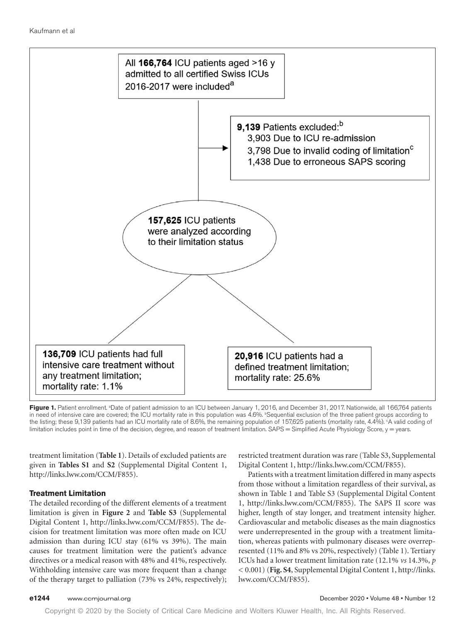

Figure 1. Patient enrollment. <sup>a</sup>Date of patient admission to an ICU between January 1, 2016, and December 31, 2017. Nationwide, all 166,764 patients in need of intensive care are covered; the ICU mortality rate in this population was 4.6%. bSequential exclusion of the three patient groups according to the listing; these 9,139 patients had an ICU mortality rate of 8.6%, the remaining population of 157,625 patients (mortality rate, 4.4%). A valid coding of limitation includes point in time of the decision, degree, and reason of treatment limitation.  $SAPS = Simplified Acute Physiology Score,  $y =$  years.$ 

treatment limitation (**Table 1**). Details of excluded patients are given in **Tables S1** and **S2** (Supplemental Digital Content 1, [http://links.lww.com/CCM/F855\)](http://links.lww.com/CCM/F855).

## **Treatment Limitation**

The detailed recording of the different elements of a treatment limitation is given in **Figure 2** and **Table S3** (Supplemental Digital Content 1, <http://links.lww.com/CCM/F855>). The decision for treatment limitation was more often made on ICU admission than during ICU stay (61% vs 39%). The main causes for treatment limitation were the patient's advance directives or a medical reason with 48% and 41%, respectively. Withholding intensive care was more frequent than a change of the therapy target to palliation (73% vs 24%, respectively); restricted treatment duration was rare (Table S3, Supplemental Digital Content 1, <http://links.lww.com/CCM/F855>).

Patients with a treatment limitation differed in many aspects from those without a limitation regardless of their survival, as shown in Table 1 and Table S3 (Supplemental Digital Content 1, [http://links.lww.com/CCM/F855\)](http://links.lww.com/CCM/F855). The SAPS II score was higher, length of stay longer, and treatment intensity higher. Cardiovascular and metabolic diseases as the main diagnostics were underrepresented in the group with a treatment limitation, whereas patients with pulmonary diseases were overrepresented (11% and 8% vs 20%, respectively) (Table 1). Tertiary ICUs had a lower treatment limitation rate (12.1% *vs* 14.3%, *p* < 0.001) (**Fig. S4**, Supplemental Digital Content 1, [http://links.](http://links.lww.com/CCM/F855) [lww.com/CCM/F855](http://links.lww.com/CCM/F855)).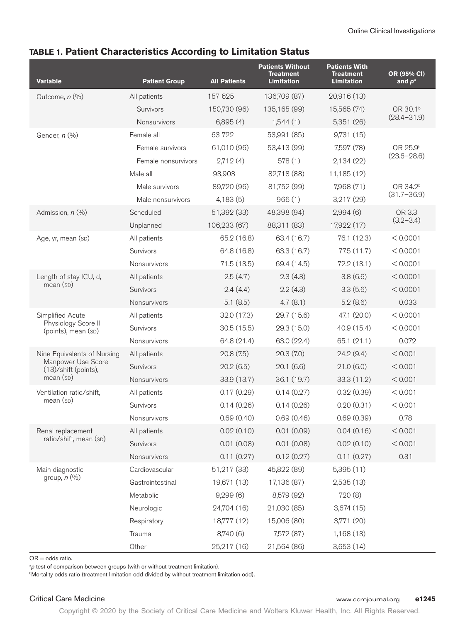| Variable                                                       | <b>Patient Group</b> | <b>All Patients</b> | <b>Patients Without</b><br><b>Treatment</b><br><b>Limitation</b> | <b>Patients With</b><br><b>Treatment</b><br><b>Limitation</b> | OR (95% CI)<br>and $p^a$                |  |
|----------------------------------------------------------------|----------------------|---------------------|------------------------------------------------------------------|---------------------------------------------------------------|-----------------------------------------|--|
| Outcome, n (%)                                                 | All patients         | 157 625             | 136,709 (87)                                                     | 20,916 (13)                                                   |                                         |  |
|                                                                | Survivors            | 150,730 (96)        | 135,165 (99)                                                     | 15,565 (74)                                                   | OR 30.1 <sup>b</sup>                    |  |
|                                                                | Nonsurvivors         | 6,895(4)            | 1,544(1)                                                         | 5,351 (26)                                                    | $(28.4 - 31.9)$                         |  |
| Gender, n (%)                                                  | Female all           | 63722               | 53,991 (85)                                                      | 9,731 (15)                                                    |                                         |  |
|                                                                | Female survivors     | 61,010 (96)         | 53,413 (99)                                                      | 7,597 (78)                                                    | OR 25.9 <sup>b</sup><br>$(23.6 - 28.6)$ |  |
|                                                                | Female nonsurvivors  | 2,712(4)            | 578(1)                                                           | 2,134(22)                                                     |                                         |  |
|                                                                | Male all             | 93,903              | 82,718 (88)                                                      | 11,185 (12)                                                   |                                         |  |
|                                                                | Male survivors       | 89,720 (96)         | 81,752 (99)                                                      | 7,968 (71)                                                    | OR 34.2 <sup>b</sup>                    |  |
|                                                                | Male nonsurvivors    | 4,183(5)            | 966(1)                                                           | 3,217 (29)                                                    | $(31.7 - 36.9)$                         |  |
| Admission, n (%)                                               | Scheduled            | 51,392 (33)         | 48,398 (94)                                                      | 2,994(6)                                                      | OR 3.3                                  |  |
|                                                                | Unplanned            | 106,233 (67)        | 88,311 (83)                                                      | 17,922 (17)                                                   | $(3.2 - 3.4)$                           |  |
| Age, yr, mean (SD)                                             | All patients         | 65.2 (16.8)         | 63.4 (16.7)                                                      | 76.1 (12.3)                                                   | < 0.0001                                |  |
|                                                                | Survivors            | 64.8 (16.8)         | 63.3 (16.7)                                                      | 77.5 (11.7)                                                   | < 0.0001                                |  |
|                                                                | <b>Nonsurvivors</b>  | 71.5(13.5)          | 69.4 (14.5)                                                      | 72.2 (13.1)                                                   | < 0.0001                                |  |
| Length of stay ICU, d,<br>mean (SD)                            | All patients         | 2.5(4.7)            | 2.3(4.3)                                                         | 3.8(6.6)                                                      | < 0.0001                                |  |
|                                                                | Survivors            | 2.4(4.4)            | 2.2(4.3)                                                         | 3.3(5.6)                                                      | < 0.0001                                |  |
|                                                                | Nonsurvivors         | 5.1(8.5)            | 4.7(8.1)                                                         | 5.2(8.6)                                                      | 0.033                                   |  |
| Simplified Acute<br>Physiology Score II<br>(points), mean (sp) | All patients         | 32.0 (17.3)         | 29.7 (15.6)                                                      | 47.1 (20.0)                                                   | < 0.0001                                |  |
|                                                                | Survivors            | 30.5(15.5)          | 29.3 (15.0)                                                      | 40.9 (15.4)                                                   | < 0.0001                                |  |
|                                                                | <b>Nonsurvivors</b>  | 64.8 (21.4)         | 63.0 (22.4)                                                      | 65.1(21.1)                                                    | 0.072                                   |  |
| Nine Equivalents of Nursing                                    | All patients         | 20.8(7.5)           | 20.3(7.0)                                                        | 24.2(9.4)                                                     | < 0.001                                 |  |
| Manpower Use Score<br>(13)/shift (points),                     | Survivors            | 20.2(6.5)           | 20.1(6.6)                                                        | 21.0(6.0)                                                     | < 0.001                                 |  |
| mean (SD)                                                      | <b>Nonsurvivors</b>  | 33.9 (13.7)         | 36.1 (19.7)                                                      | 33.3(11.2)                                                    | < 0.001                                 |  |
| Ventilation ratio/shift,<br>mean (SD)                          | All patients         | 0.17(0.29)          | 0.14(0.27)                                                       | 0.32(0.39)                                                    | < 0.001                                 |  |
|                                                                | Survivors            | 0.14(0.26)          | 0.14(0.26)                                                       | 0.20(0.31)                                                    | < 0.001                                 |  |
|                                                                | Nonsurvivors         | 0.69(0.40)          | 0.69(0.46)                                                       | 0.69(0.39)                                                    | 0.78                                    |  |
| Renal replacement<br>ratio/shift, mean (SD)                    | All patients         | 0.02(0.10)          | 0.01(0.09)                                                       | 0.04(0.16)                                                    | < 0.001                                 |  |
|                                                                | Survivors            | 0.01(0.08)          | 0.01(0.08)                                                       | 0.02(0.10)                                                    | < 0.001                                 |  |
|                                                                | Nonsurvivors         | 0.11(0.27)          | 0.12(0.27)                                                       | 0.11(0.27)                                                    | 0.31                                    |  |
| Main diagnostic                                                | Cardiovascular       | 51,217 (33)         | 45,822 (89)                                                      | 5,395 (11)                                                    |                                         |  |
| group, $n$ $(\%)$                                              | Gastrointestinal     | 19,671 (13)         | 17,136 (87)                                                      | 2,535 (13)                                                    |                                         |  |
|                                                                | Metabolic            | 9,299(6)            | 8,579 (92)                                                       | 720 (8)                                                       |                                         |  |
|                                                                | Neurologic           | 24,704 (16)         | 21,030 (85)                                                      | 3,674 (15)                                                    |                                         |  |
|                                                                | Respiratory          | 18,777 (12)         | 15,006 (80)                                                      | 3,771 (20)                                                    |                                         |  |
|                                                                | Trauma               | 8,740 (6)           | 7,572 (87)                                                       | 1,168 (13)                                                    |                                         |  |
|                                                                | Other                | 25,217 (16)         | 21,564 (86)                                                      | 3,653(14)                                                     |                                         |  |

# **TABLE 1. Patient Characteristics According to Limitation Status**

 $OR = odds ratio.$ 

<sup>a</sup>p test of comparison between groups (with or without treatment limitation).

b Mortality odds ratio (treatment limitation odd divided by without treatment limitation odd).

# Critical Care Medicine www.ccmjournal.org **e1245**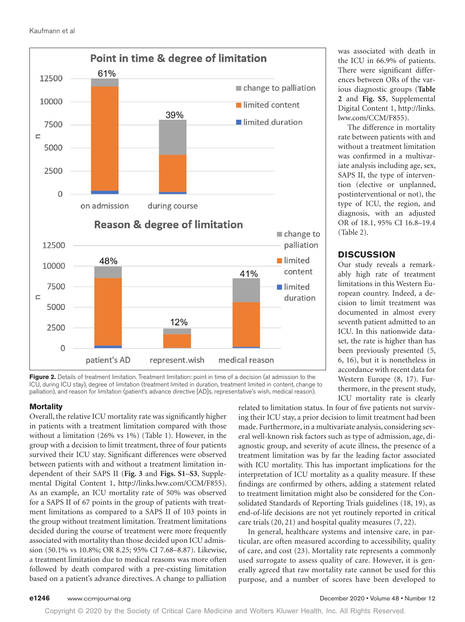

**Figure 2.** Details of treatment limitation. Treatment limitation: point in time of a decision (at admission to the ICU, during ICU stay), degree of limitation (treatment limited in duration, treatment limited in content, change to palliation), and reason for limitation (patient's advance directive [AD]s, representative's wish, medical reason).

# **Mortality**

Overall, the relative ICU mortality rate was significantly higher in patients with a treatment limitation compared with those without a limitation (26% vs 1%) (Table 1). However, in the group with a decision to limit treatment, three of four patients survived their ICU stay. Significant differences were observed between patients with and without a treatment limitation independent of their SAPS II (**Fig. 3** and **Figs. S1**–**S3**, Supplemental Digital Content 1, <http://links.lww.com/CCM/F855>). As an example, an ICU mortality rate of 50% was observed for a SAPS II of 67 points in the group of patients with treatment limitations as compared to a SAPS II of 103 points in the group without treatment limitation. Treatment limitations decided during the course of treatment were more frequently associated with mortality than those decided upon ICU admission (50.1% vs 10.8%; OR 8.25; 95% CI 7.68–8.87). Likewise, a treatment limitation due to medical reasons was more often followed by death compared with a pre-existing limitation based on a patient's advance directives. A change to palliation

was associated with death in the ICU in 66.9% of patients. There were significant differences between ORs of the various diagnostic groups (**Table 2** and **Fig. S5**, Supplemental Digital Content 1, [http://links.](http://links.lww.com/CCM/F855) [lww.com/CCM/F855\)](http://links.lww.com/CCM/F855).

The difference in mortality rate between patients with and without a treatment limitation was confirmed in a multivariate analysis including age, sex, SAPS II, the type of intervention (elective or unplanned, postinterventional or not), the type of ICU, the region, and diagnosis, with an adjusted OR of 18.1, 95% CI 16.8–19.4 (Table 2).

# **DISCUSSION**

Our study reveals a remarkably high rate of treatment limitations in this Western European country. Indeed, a decision to limit treatment was documented in almost every seventh patient admitted to an ICU. In this nationwide dataset, the rate is higher than has been previously presented (5, 6, 16), but it is nonetheless in accordance with recent data for Western Europe (8, 17). Furthermore, in the present study, ICU mortality rate is clearly

related to limitation status. In four of five patients not surviving their ICU stay, a prior decision to limit treatment had been made. Furthermore, in a multivariate analysis, considering several well-known risk factors such as type of admission, age, diagnostic group, and severity of acute illness, the presence of a treatment limitation was by far the leading factor associated with ICU mortality. This has important implications for the interpretation of ICU mortality as a quality measure. If these findings are confirmed by others, adding a statement related to treatment limitation might also be considered for the Consolidated Standards of Reporting Trials guidelines (18, 19), as end-of-life decisions are not yet routinely reported in critical care trials (20, 21) and hospital quality measures (7, 22).

In general, healthcare systems and intensive care, in particular, are often measured according to accessibility, quality of care, and cost (23). Mortality rate represents a commonly used surrogate to assess quality of care. However, it is generally agreed that raw mortality rate cannot be used for this purpose, and a number of scores have been developed to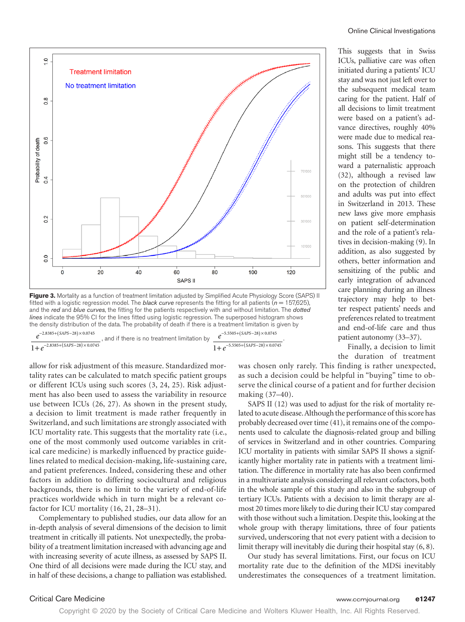![](_page_5_Figure_0.jpeg)

vance directives, roughly 40% were made due to medical rea-

ward a paternalistic approach (32), although a revised law on the protection of children and adults was put into effect in Switzerland in 2013. These new laws give more emphasis on patient self-determination and the role of a patient's relatives in decision-making (9). In addition, as also suggested by others, better information and sensitizing of the public and early integration of advanced care planning during an illness trajectory may help to better respect patients' needs and preferences related to treatment and end-of-life care and thus

 $1+e^{-2.8385 + (SAPS-28) \times 0.0745}$ −2.8385+(*SAPS−*28)×0.0745 , and if there is no treatment limitation by *e*  $1+e^{-5.5505 + (SAPS-28) \times 0.0745}$ −5.5505+(*SAPS−28*)×0.0745 .

fitted with a logistic regression model. The *black curve* represents the fitting for all patients  $(n = 157,625)$ and the *red* and *blue curves*, the fitting for the patients respectively with and without limitation. The *dotted lines* indicate the 95% CI for the lines fitted using logistic regression. The superposed histogram shows the density distribution of the data. The probability of death if there is a treatment limitation is given by

allow for risk adjustment of this measure. Standardized mortality rates can be calculated to match specific patient groups or different ICUs using such scores (3, 24, 25). Risk adjustment has also been used to assess the variability in resource use between ICUs (26, 27). As shown in the present study, a decision to limit treatment is made rather frequently in Switzerland, and such limitations are strongly associated with ICU mortality rate. This suggests that the mortality rate (i.e., one of the most commonly used outcome variables in critical care medicine) is markedly influenced by practice guidelines related to medical decision-making, life-sustaining care, and patient preferences. Indeed, considering these and other factors in addition to differing sociocultural and religious backgrounds, there is no limit to the variety of end-of-life practices worldwide which in turn might be a relevant cofactor for ICU mortality (16, 21, 28–31).

Complementary to published studies, our data allow for an in-depth analysis of several dimensions of the decision to limit treatment in critically ill patients. Not unexpectedly, the probability of a treatment limitation increased with advancing age and with increasing severity of acute illness, as assessed by SAPS II. One third of all decisions were made during the ICU stay, and in half of these decisions, a change to palliation was established.

the duration of treatment was chosen only rarely. This finding is rather unexpected, as such a decision could be helpful in "buying" time to ob-

patient autonomy (33–37). Finally, a decision to limit

making (37–40). SAPS II (12) was used to adjust for the risk of mortality related to acute disease. Although the performance of this score has probably decreased over time (41), it remains one of the components used to calculate the diagnosis-related group and billing of services in Switzerland and in other countries. Comparing ICU mortality in patients with similar SAPS II shows a significantly higher mortality rate in patients with a treatment limitation. The difference in mortality rate has also been confirmed in a multivariate analysis considering all relevant cofactors, both in the whole sample of this study and also in the subgroup of tertiary ICUs. Patients with a decision to limit therapy are almost 20 times more likely to die during their ICU stay compared with those without such a limitation. Despite this, looking at the whole group with therapy limitations, three of four patients survived, underscoring that not every patient with a decision to limit therapy will inevitably die during their hospital stay (6, 8).

serve the clinical course of a patient and for further decision

Our study has several limitations. First, our focus on ICU mortality rate due to the definition of the MDSi inevitably underestimates the consequences of a treatment limitation.

This suggests that in Swiss ICUs, palliative care was often initiated during a patients' ICU stay and was not just left over to the subsequent medical team caring for the patient. Half of all decisions to limit treatment were based on a patient's ad-

sons. This suggests that there might still be a tendency to-

*e*

### Critical Care Medicine www.ccmjournal.org **e1247**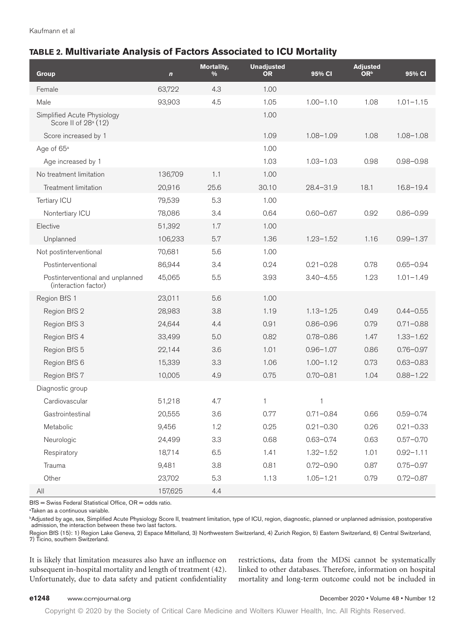Kaufmann et al

# **TABLE 2. Multivariate Analysis of Factors Associated to ICU Mortality**

| Group                                                           | $\mathbf n$ | <b>Mortality,</b><br>% | <b>Unadjusted</b><br><b>OR</b> | 95% CI        | <b>Adjusted</b><br>OR <sup>b</sup> | 95% CI        |
|-----------------------------------------------------------------|-------------|------------------------|--------------------------------|---------------|------------------------------------|---------------|
| Female                                                          | 63,722      | 4.3                    | 1.00                           |               |                                    |               |
| Male                                                            | 93,903      | 4.5                    | 1.05                           | $1.00 - 1.10$ | 1.08                               | $1.01 - 1.15$ |
| Simplified Acute Physiology<br>Score II of 28 <sup>a</sup> (12) |             |                        | 1.00                           |               |                                    |               |
| Score increased by 1                                            |             |                        | 1.09                           | $1.08 - 1.09$ | 1.08                               | $1.08 - 1.08$ |
| Age of 65 <sup>a</sup>                                          |             |                        | 1.00                           |               |                                    |               |
| Age increased by 1                                              |             |                        | 1.03                           | $1.03 - 1.03$ | 0.98                               | $0.98 - 0.98$ |
| No treatment limitation                                         | 136,709     | 1.1                    | 1.00                           |               |                                    |               |
| Treatment limitation                                            | 20,916      | 25.6                   | 30.10                          | $28.4 - 31.9$ | 18.1                               | $16.8 - 19.4$ |
| Tertiary ICU                                                    | 79,539      | 5.3                    | 1.00                           |               |                                    |               |
| Nontertiary ICU                                                 | 78,086      | 3.4                    | 0.64                           | $0.60 - 0.67$ | 0.92                               | $0.86 - 0.99$ |
| Elective                                                        | 51,392      | 1.7                    | 1.00                           |               |                                    |               |
| Unplanned                                                       | 106,233     | 5.7                    | 1.36                           | $1.23 - 1.52$ | 1.16                               | $0.99 - 1.37$ |
| Not postinterventional                                          | 70,681      | 5.6                    | 1.00                           |               |                                    |               |
| Postinterventional                                              | 86,944      | 3.4                    | 0.24                           | $0.21 - 0.28$ | 0.78                               | $0.65 - 0.94$ |
| Postinterventional and unplanned<br>(interaction factor)        | 45,065      | 5.5                    | 3.93                           | $3.40 - 4.55$ | 1.23                               | $1.01 - 1.49$ |
| Region BfS 1                                                    | 23,011      | 5.6                    | 1.00                           |               |                                    |               |
| Region BfS 2                                                    | 28,983      | 3.8                    | 1.19                           | $1.13 - 1.25$ | 0.49                               | $0.44 - 0.55$ |
| Region BfS 3                                                    | 24,644      | 4.4                    | 0.91                           | $0.86 - 0.96$ | 0.79                               | $0.71 - 0.88$ |
| Region BfS 4                                                    | 33,499      | 5.0                    | 0.82                           | $0.78 - 0.86$ | 1.47                               | $1.33 - 1.62$ |
| Region BfS 5                                                    | 22,144      | 3.6                    | 1.01                           | $0.96 - 1.07$ | 0.86                               | $0.76 - 0.97$ |
| Region BfS 6                                                    | 15,339      | 3.3                    | 1.06                           | $1.00 - 1.12$ | 0.73                               | $0.63 - 0.83$ |
| Region BfS 7                                                    | 10,005      | 4.9                    | 0.75                           | $0.70 - 0.81$ | 1.04                               | $0.88 - 1.22$ |
| Diagnostic group                                                |             |                        |                                |               |                                    |               |
| Cardiovascular                                                  | 51,218      | 4.7                    | 1                              | 1             |                                    |               |
| Gastrointestinal                                                | 20,555      | 3.6                    | 0.77                           | $0.71 - 0.84$ | 0.66                               | $0.59 - 0.74$ |
| Metabolic                                                       | 9,456       | 1.2                    | 0.25                           | $0.21 - 0.30$ | 0.26                               | $0.21 - 0.33$ |
| Neurologic                                                      | 24,499      | 3.3                    | 0.68                           | $0.63 - 0.74$ | 0.63                               | $0.57 - 0.70$ |
| Respiratory                                                     | 18,714      | 6.5                    | 1.41                           | $1.32 - 1.52$ | 1.01                               | $0.92 - 1.11$ |
| Trauma                                                          | 9,481       | $3.8\,$                | 0.81                           | $0.72 - 0.90$ | 0.87                               | $0.75 - 0.97$ |
| Other                                                           | 23,702      | 5.3                    | 1.13                           | $1.05 - 1.21$ | 0.79                               | $0.72 - 0.87$ |
| All                                                             | 157,625     | 4.4                    |                                |               |                                    |               |

 $BfS =$  Swiss Federal Statistical Office,  $OR =$  odds ratio.

a Taken as a continuous variable.

b Adjusted by age, sex, Simplified Acute Physiology Score II, treatment limitation, type of ICU, region, diagnostic, planned or unplanned admission, postoperative admission, the interaction between these two last factors.

Region BfS (15): 1) Region Lake Geneva, 2) Espace Mittelland, 3) Northwestern Switzerland, 4) Zurich Region, 5) Eastern Switzerland, 6) Central Switzerland, 7) Ticino, southern Switzerland.

It is likely that limitation measures also have an influence on subsequent in-hospital mortality and length of treatment (42). Unfortunately, due to data safety and patient confidentiality restrictions, data from the MDSi cannot be systematically linked to other databases. Therefore, information on hospital mortality and long-term outcome could not be included in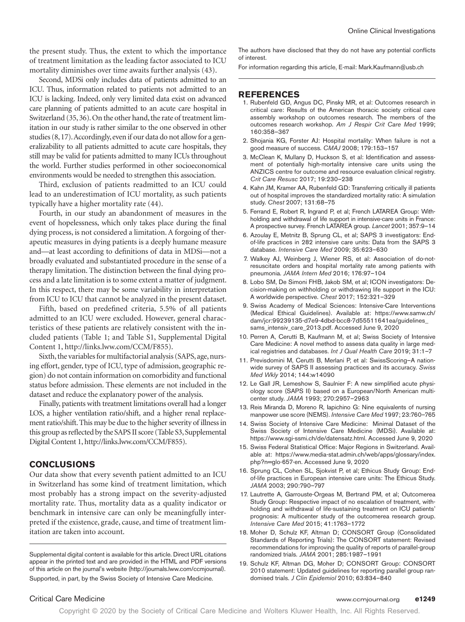the present study. Thus, the extent to which the importance of treatment limitation as the leading factor associated to ICU mortality diminishes over time awaits further analysis (43).

Second, MDSi only includes data of patients admitted to an ICU. Thus, information related to patients not admitted to an ICU is lacking. Indeed, only very limited data exist on advanced care planning of patients admitted to an acute care hospital in Switzerland (35, 36). On the other hand, the rate of treatment limitation in our study is rather similar to the one observed in other studies (8, 17). Accordingly, even if our data do not allow for a generalizability to all patients admitted to acute care hospitals, they still may be valid for patients admitted to many ICUs throughout the world. Further studies performed in other socioeconomical environments would be needed to strengthen this association.

Third, exclusion of patients readmitted to an ICU could lead to an underestimation of ICU mortality, as such patients typically have a higher mortality rate (44).

Fourth, in our study an abandonment of measures in the event of hopelessness, which only takes place during the final dying process, is not considered a limitation. A forgoing of therapeutic measures in dying patients is a deeply humane measure and—at least according to definitions of data in MDSi—not a broadly evaluated and substantiated procedure in the sense of a therapy limitation. The distinction between the final dying process and a late limitation is to some extent a matter of judgment. In this respect, there may be some variability in interpretation from ICU to ICU that cannot be analyzed in the present dataset.

Fifth, based on predefined criteria, 5.5% of all patients admitted to an ICU were excluded. However, general characteristics of these patients are relatively consistent with the included patients (Table 1; and Table S1, Supplemental Digital Content 1, [http://links.lww.com/CCM/F855\)](http://links.lww.com/CCM/F855).

Sixth, the variables for multifactorial analysis (SAPS, age, nursing effort, gender, type of ICU, type of admission, geographic region) do not contain information on comorbidity and functional status before admission. These elements are not included in the dataset and reduce the explanatory power of the analysis.

Finally, patients with treatment limitations overall had a longer LOS, a higher ventilation ratio/shift, and a higher renal replacement ratio/shift. This may be due to the higher severity of illness in this group as reflected by the SAPS II score (Table S3, Supplemental Digital Content 1,<http://links.lww.com/CCM/F855>).

# **CONCLUSIONS**

Our data show that every seventh patient admitted to an ICU in Switzerland has some kind of treatment limitation, which most probably has a strong impact on the severity-adjusted mortality rate. Thus, mortality data as a quality indicator or benchmark in intensive care can only be meaningfully interpreted if the existence, grade, cause, and time of treatment limitation are taken into account.

The authors have disclosed that they do not have any potential conflicts of interest.

For information regarding this article, E-mail: [Mark.Kaufmann@usb.ch](mailto:Mark.Kaufmann@usb.ch)

## **REFERENCES**

- 1. Rubenfeld GD, Angus DC, Pinsky MR, et al: Outcomes research in critical care: Results of the American thoracic society critical care assembly workshop on outcomes research. The members of the outcomes research workshop. *Am J Respir Crit Care Med* 1999; 160:358–367
- 2. Shojania KG, Forster AJ: Hospital mortality: When failure is not a good measure of success. *CMAJ* 2008; 179:153–157
- 3. McClean K, Mullany D, Huckson S, et al: Identification and assessment of potentially high-mortality intensive care units using the ANZICS centre for outcome and resource evaluation clinical registry. *Crit Care Resusc* 2017; 19:230–238
- 4. Kahn JM, Kramer AA, Rubenfeld GD: Transferring critically ill patients out of hospital improves the standardized mortality ratio: A simulation study. *Chest* 2007; 131:68–75
- 5. Ferrand E, Robert R, Ingrand P, et al; French LATAREA Group: Withholding and withdrawal of life support in intensive-care units in France: A prospective survey. French LATAREA group. *Lancet* 2001; 357:9–14
- 6. Azoulay E, Metnitz B, Sprung CL, et al; SAPS 3 investigators: Endof-life practices in 282 intensive care units: Data from the SAPS 3 database. *Intensive Care Med* 2009; 35:623–630
- 7. Walkey AJ, Weinberg J, Wiener RS, et al: Association of do-notresuscitate orders and hospital mortality rate among patients with pneumonia. *JAMA Intern Med* 2016; 176:97–104
- 8. Lobo SM, De Simoni FHB, Jakob SM, et al; ICON investigators: Decision-making on withholding or withdrawing life support in the ICU: A worldwide perspective. *Chest* 2017; 152:321–329
- 9. Swiss Academy of Medical Sciences: Intensive-Care Interventions (Medical Ethical Guidelines). Available at: [https://www.samw.ch/](https://www.samw.ch/dam/jcr:99239135-d7e9-4dbd-bcc8-7d55511641ea/guidelines_sams_intensiv_care_2013.pdf) [dam/jcr:99239135-d7e9-4dbd-bcc8-7d55511641ea/guidelines\\_](https://www.samw.ch/dam/jcr:99239135-d7e9-4dbd-bcc8-7d55511641ea/guidelines_sams_intensiv_care_2013.pdf) [sams\\_intensiv\\_care\\_2013.pdf.](https://www.samw.ch/dam/jcr:99239135-d7e9-4dbd-bcc8-7d55511641ea/guidelines_sams_intensiv_care_2013.pdf) Accessed June 9, 2020
- 10. Perren A, Cerutti B, Kaufmann M, et al; Swiss Society of Intensive Care Medicine: A novel method to assess data quality in large medical registries and databases. *Int J Qual Health Care* 2019; 31:1–7
- 11. Previsdomini M, Cerutti B, Merlani P, et al: SwissScoring–A nationwide survey of SAPS II assessing practices and its accuracy. *Swiss Med Wkly* 2014; 144:w14090
- 12. Le Gall JR, Lemeshow S, Saulnier F: A new simplified acute physiology score (SAPS II) based on a European/North American multicenter study. *JAMA* 1993; 270:2957–2963
- 13. Reis Miranda D, Moreno R, Iapichino G: Nine equivalents of nursing manpower use score (NEMS). *Intensive Care Med* 1997; 23:760–765
- 14. Swiss Society of Intensive Care Medicine: Minimal Dataset of the Swiss Society of Intensive Care Medicine (MDSi). Available at: https://www.sgi-ssmi.ch/de/datensatz.html. Accessed June 9, 2020
- 15. Swiss Federal Statistical Office: Major Regions in Switzerland. Available at: [https://www.media-stat.admin.ch/web/apps/glossary/index.](https://www.media-stat.admin.ch/web/apps/glossary/index.php?n=glo-657-en) [php?n=glo-657-en.](https://www.media-stat.admin.ch/web/apps/glossary/index.php?n=glo-657-en) Accessed June 9, 2020
- 16. Sprung CL, Cohen SL, Sjokvist P, et al; Ethicus Study Group: Endof-life practices in European intensive care units: The Ethicus Study. *JAMA* 2003; 290:790–797
- 17. Lautrette A, Garrouste-Orgeas M, Bertrand PM, et al; Outcomerea Study Group: Respective impact of no escalation of treatment, withholding and withdrawal of life-sustaining treatment on ICU patients' prognosis: A multicenter study of the outcomerea research group. *Intensive Care Med* 2015; 41:1763–1772
- 18. Moher D, Schulz KF, Altman D; CONSORT Group (Consolidated Standards of Reporting Trials): The CONSORT statement: Revised recommendations for improving the quality of reports of parallel-group randomized trials. *JAMA* 2001; 285:1987–1991
- 19. Schulz KF, Altman DG, Moher D; CONSORT Group: CONSORT 2010 statement: Updated guidelines for reporting parallel group randomised trials. *J Clin Epidemiol* 2010; 63:834–840

### Critical Care Medicine www.ccmjournal.org **e1249**

Supplemental digital content is available for this article. Direct URL citations appear in the printed text and are provided in the HTML and PDF versions of this article on the journal's website [\(http://journals.lww.com/ccmjournal\)](http://journals.lww.com/ccmjournal). Supported, in part, by the Swiss Society of Intensive Care Medicine.